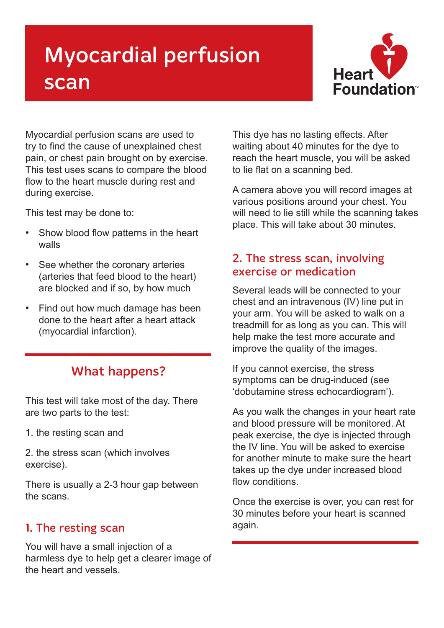# Myocardial perfusion scan



Myocardial perfusion scans are used to try to find the cause of unexplained chest pain, or chest pain brought on by exercise. This test uses scans to compare the blood flow to the heart muscle during rest and during exercise.

This test may be done to:

- Show blood flow patterns in the heart walls
- See whether the coronary arteries (arteries that feed blood to the heart) are blocked and if so, by how much
- Find out how much damage has been done to the heart after a heart attack (myocardial infarction).

## What happens?

This test will take most of the day. There are two parts to the test:

1. the resting scan and

2. the stress scan (which involves exercise).

There is usually a 2-3 hour gap between the scans.

### 1. The resting scan

You will have a small injection of a harmless dye to help get a clearer image of the heart and vessels.

This dye has no lasting effects. After waiting about 40 minutes for the dye to reach the heart muscle, you will be asked to lie flat on a scanning bed.

A camera above you will record images at various positions around your chest. You will need to lie still while the scanning takes place. This will take about 30 minutes.

### 2. The stress scan, involving exercise or medication

Several leads will be connected to your chest and an intravenous (IV) line put in your arm. You will be asked to walk on a treadmill for as long as you can. This will help make the test more accurate and improve the quality of the images.

If you cannot exercise, the stress symptoms can be drug-induced (see 'dobutamine stress echocardiogram').

As you walk the changes in your heart rate and blood pressure will be monitored. At peak exercise, the dye is injected through the IV line. You will be asked to exercise for another minute to make sure the heart takes up the dye under increased blood flow conditions

Once the exercise is over, you can rest for 30 minutes before your heart is scanned again.